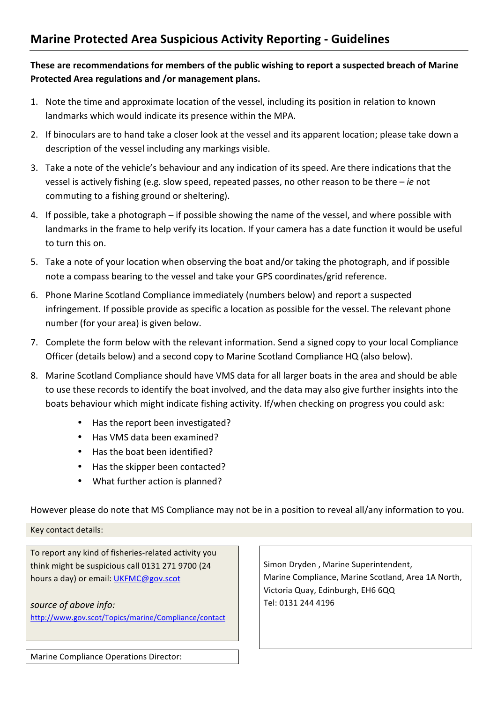## **These are recommendations for members of the public wishing to report a suspected breach of Marine** Protected Area regulations and /or management plans.

- 1. Note the time and approximate location of the vessel, including its position in relation to known landmarks which would indicate its presence within the MPA.
- 2. If binoculars are to hand take a closer look at the vessel and its apparent location; please take down a description of the vessel including any markings visible.
- 3. Take a note of the vehicle's behaviour and any indication of its speed. Are there indications that the vessel is actively fishing (e.g. slow speed, repeated passes, no other reason to be there – *ie* not commuting to a fishing ground or sheltering).
- 4. If possible, take a photograph if possible showing the name of the vessel, and where possible with landmarks in the frame to help verify its location. If your camera has a date function it would be useful to turn this on.
- 5. Take a note of your location when observing the boat and/or taking the photograph, and if possible note a compass bearing to the vessel and take your GPS coordinates/grid reference.
- 6. Phone Marine Scotland Compliance immediately (numbers below) and report a suspected infringement. If possible provide as specific a location as possible for the vessel. The relevant phone number (for your area) is given below.
- 7. Complete the form below with the relevant information. Send a signed copy to your local Compliance Officer (details below) and a second copy to Marine Scotland Compliance HQ (also below).
- 8. Marine Scotland Compliance should have VMS data for all larger boats in the area and should be able to use these records to identify the boat involved, and the data may also give further insights into the boats behaviour which might indicate fishing activity. If/when checking on progress you could ask:
	- Has the report been investigated?
	- Has VMS data been examined?
	- Has the boat been identified?
	- Has the skipper been contacted?
	- What further action is planned?

However please do note that MS Compliance may not be in a position to reveal all/any information to you.

Key contact details:

To report any kind of fisheries-related activity you think might be suspicious call 0131 271 9700 (24 hours a day) or email: UKFMC@gov.scot

source of above info: http://www.gov.scot/Topics/marine/Compliance/contact

Simon Dryden, Marine Superintendent, Marine Compliance, Marine Scotland, Area 1A North, Victoria Quay, Edinburgh, EH6 6QQ Tel: 0131 244 4196

Marine Compliance Operations Director: